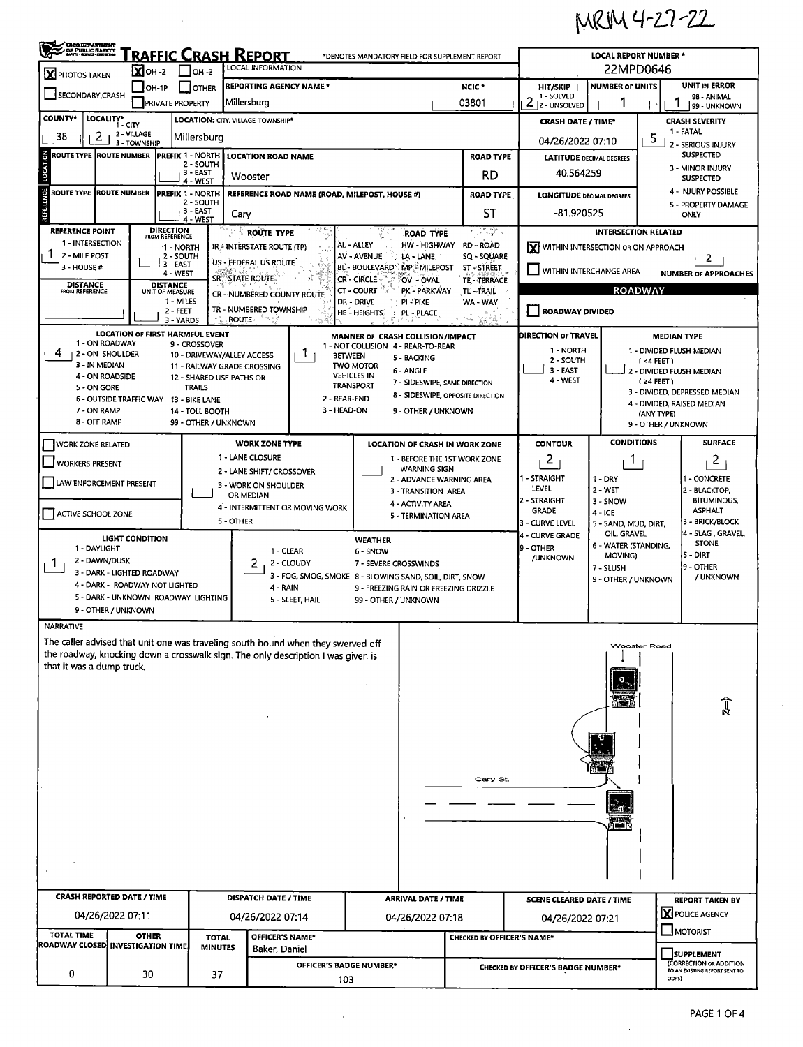MRIM 4-27-22

| <b>CHOO DEPARTMENT</b><br>Of PUBLIC BARRY                                                                                                                                                                             |                                                                       |                                    | <u>RAFFIC CRASH REPORT</u>                  |                  |                                                                                  |                                        |                                                 | *DENOTES MANDATORY FIELD FOR SUPPLEMENT REPORT                        |                                             | <b>LOCAL REPORT NUMBER *</b>        |                                        |                                                             |  |  |  |
|-----------------------------------------------------------------------------------------------------------------------------------------------------------------------------------------------------------------------|-----------------------------------------------------------------------|------------------------------------|---------------------------------------------|------------------|----------------------------------------------------------------------------------|----------------------------------------|-------------------------------------------------|-----------------------------------------------------------------------|---------------------------------------------|-------------------------------------|----------------------------------------|-------------------------------------------------------------|--|--|--|
| X PHOTOS TAKEN                                                                                                                                                                                                        | $\overline{\mathbf{X}}$ OH -2                                         |                                    | $\Gamma$ lon-3                              |                  | <b>LOCAL INFORMATION</b>                                                         |                                        | 22MPD0646                                       |                                                                       |                                             |                                     |                                        |                                                             |  |  |  |
| SECONDARY CRASH                                                                                                                                                                                                       | $\Box$ OH-1P                                                          |                                    | I IOTHER                                    |                  | <b>REPORTING AGENCY NAME *</b>                                                   |                                        |                                                 | NCIC <sup>+</sup>                                                     | <b>HIT/SKIP</b>                             | <b>NUMBER OF UNITS</b>              |                                        | <b>UNIT IN ERROR</b>                                        |  |  |  |
|                                                                                                                                                                                                                       |                                                                       | <b>PRIVATE PROPERTY</b>            |                                             | Millersburg      |                                                                                  |                                        |                                                 | 03801                                                                 | 1 - SOLVED<br>2<br>2 - UNSOLVED             |                                     |                                        | 98 - ANIMAL<br>99 - UNKNOWN                                 |  |  |  |
| <b>COUNTY*</b><br>LOCALITY*                                                                                                                                                                                           | 1 - CITY                                                              |                                    | LOCATION: CITY. VILLAGE. TOWNSHIP*          |                  |                                                                                  |                                        | <b>CRASH DATE / TIME*</b>                       |                                                                       |                                             | <b>CRASH SEVERITY</b>               |                                        |                                                             |  |  |  |
| 38<br>2                                                                                                                                                                                                               | 2 - VILLAGE<br>3 - TOWNSHIP                                           |                                    | Millersburg                                 |                  |                                                                                  |                                        |                                                 |                                                                       |                                             |                                     | 5                                      | 1 - FATAL<br>2 - SERIOUS INJURY                             |  |  |  |
| <b>ROUTE TYPE</b>                                                                                                                                                                                                     | <b>ROUTE NUMBER</b>                                                   |                                    | <b>PREFIX 1 - NORTH</b><br>2 - SOUTH        |                  | <b>LOCATION ROAD NAME</b>                                                        |                                        |                                                 | <b>ROAD TYPE</b>                                                      |                                             | <b>LATITUDE DECIMAL DEGREES</b>     |                                        | <b>SUSPECTED</b>                                            |  |  |  |
| LOCATION                                                                                                                                                                                                              |                                                                       |                                    | 3 - EAST<br>4 - WEST                        | Wooster          |                                                                                  |                                        |                                                 | RD                                                                    | 40.564259                                   |                                     |                                        | 3 - MINOR INJURY<br><b>SUSPECTED</b>                        |  |  |  |
| <b>ENCE</b><br>ROUTE TYPE  ROUTE NUMBER                                                                                                                                                                               |                                                                       |                                    | <b>PREFIX 1 - NORTH</b>                     |                  | REFERENCE ROAD NAME (ROAD, MILEPOST, HOUSE #)                                    |                                        |                                                 | <b>ROAD TYPE</b>                                                      | <b>LONGITUDE DECIMAL DEGREES</b>            |                                     |                                        | 4 - INJURY POSSIBLE                                         |  |  |  |
| REFERI                                                                                                                                                                                                                |                                                                       |                                    | 2 - SOUTH<br>3 - EAST                       | Cary             |                                                                                  |                                        | SТ                                              | -81.920525                                                            |                                             |                                     | 5 - PROPERTY DAMAGE<br>ONLY            |                                                             |  |  |  |
| <b>REFERENCE POINT</b>                                                                                                                                                                                                |                                                                       | <b>DIRECTION</b><br>FROM REFERENCE | 4 - WEST                                    |                  | ROUTE TYPE                                                                       |                                        | <b>ROAD TYPE</b>                                | 이 사람이                                                                 |                                             | <b>INTERSECTION RELATED</b>         |                                        |                                                             |  |  |  |
| 1 - INTERSECTION                                                                                                                                                                                                      |                                                                       | $-1 - NORTH$                       |                                             |                  | IR - INTERSTATE ROUTE (TP)                                                       | AL - ALLEY                             | HW - HIGHWAY                                    | <b>RD - ROAD</b>                                                      | <b>Y</b> WITHIN INTERSECTION OR ON APPROACH |                                     |                                        |                                                             |  |  |  |
| <b>2 - MILE POST</b><br>3 - HOUSE #                                                                                                                                                                                   |                                                                       | 2 - SOUTH<br>3 - EAST              |                                             |                  | US - FEDERAL US ROUTE                                                            | <b>AV - AVENUE</b>                     | LA - LANE                                       | SQ - SQUARE<br><b>ST-STREET</b>                                       |                                             |                                     |                                        | 2                                                           |  |  |  |
| BL - BOULEVARD MP - MILEPOST<br>$\Box$ within interchange area<br>4 - WEST<br><b>NUMBER OF APPROACHES</b><br>SRESTATE ROUTE.<br><b>CR - CIRCLE</b><br>OV - OVAL<br>TE - TERRACE<br><b>DISTANCE</b><br><b>DISTANCE</b> |                                                                       |                                    |                                             |                  |                                                                                  |                                        |                                                 |                                                                       |                                             |                                     |                                        |                                                             |  |  |  |
| <b>ROADWAY</b><br>CT - COURT<br>PK - PARKWAY<br>TL-TRAIL<br>FROM REFERENCE<br>UNIT OF MEASURE<br>CR - NUMBERED COUNTY ROUTE<br>1 - MILES<br>DR - DRIVE<br>PI - PIKE<br>WA - WAY                                       |                                                                       |                                    |                                             |                  |                                                                                  |                                        |                                                 |                                                                       |                                             |                                     |                                        |                                                             |  |  |  |
| TR - NUMBERED TOWNSHIP<br>$2 - FEET$<br><b>ROADWAY DIVIDED</b><br>HE - HEIGHTS<br>PL - PLACE<br>- ROUTE -<br>3 - YARDS<br>83 Z                                                                                        |                                                                       |                                    |                                             |                  |                                                                                  |                                        |                                                 |                                                                       |                                             |                                     |                                        |                                                             |  |  |  |
|                                                                                                                                                                                                                       | <b>LOCATION OF FIRST HARMFUL EVENT</b>                                |                                    |                                             |                  |                                                                                  |                                        | MANNER OF CRASH COLLISION/IMPACT                |                                                                       | DIRECTION OF TRAVEL                         |                                     |                                        | <b>MEDIAN TYPE</b>                                          |  |  |  |
| 1 - ON ROADWAY<br>4                                                                                                                                                                                                   | 2 - ON SHOULDER                                                       |                                    | 9 - CROSSOVER<br>10 - DRIVEWAY/ALLEY ACCESS |                  | Т.<br><b>BETWEEN</b>                                                             |                                        | 1 - NOT COLLISION 4 - REAR-TO-REAR              |                                                                       | 1 - NORTH                                   |                                     | 1 - DIVIDED FLUSH MEDIAN               |                                                             |  |  |  |
| 3 - IN MEDIAN                                                                                                                                                                                                         |                                                                       |                                    | 11 - RAILWAY GRADE CROSSING                 |                  |                                                                                  | <b>TWO MOTOR</b>                       | 5 - BACKING<br>6 - ANGLE                        |                                                                       | 2 - SOUTH<br>$3 - EAST$                     |                                     | (<4 FEET )<br>2 - DIVIDED FLUSH MEDIAN |                                                             |  |  |  |
| 4 - ON ROADSIDE                                                                                                                                                                                                       |                                                                       |                                    | 12 - SHARED USE PATHS OR<br><b>TRAILS</b>   |                  |                                                                                  | <b>VEHICLES IN</b><br><b>TRANSPORT</b> | 7 - SIDESWIPE, SAME DIRECTION                   |                                                                       | 4 - WEST                                    |                                     | $(24$ FEET)                            |                                                             |  |  |  |
| 5 - ON GORE<br>8 - SIDESWIPE, OPPOSITE DIRECTION<br>2 - REAR-END<br>6 - OUTSIDE TRAFFIC WAY 13 - BIKE LANE                                                                                                            |                                                                       |                                    |                                             |                  |                                                                                  |                                        |                                                 |                                                                       |                                             |                                     |                                        | 3 - DIVIDED, DEPRESSED MEDIAN<br>4 - DIVIDED, RAISED MEDIAN |  |  |  |
| 7 - ON RAMP<br>8 - OFF RAMP                                                                                                                                                                                           |                                                                       |                                    | 14 - TOLL BOOTH<br>99 - OTHER / UNKNOWN     |                  | 3 - HEAD-ON                                                                      |                                        | 9 - OTHER / UNKNOWN                             |                                                                       |                                             |                                     | (ANY TYPE)<br>9 - OTHER / UNKNOWN      |                                                             |  |  |  |
|                                                                                                                                                                                                                       |                                                                       |                                    |                                             |                  |                                                                                  |                                        |                                                 |                                                                       |                                             | <b>CONDITIONS</b>                   |                                        | <b>SURFACE</b>                                              |  |  |  |
| <b>WORK ZONE RELATED</b>                                                                                                                                                                                              |                                                                       |                                    |                                             | 1 - LANE CLOSURE | <b>WORK ZONE TYPE</b>                                                            |                                        |                                                 | <b>LOCATION OF CRASH IN WORK ZONE</b><br>1 - BEFORE THE 1ST WORK ZONE | <b>CONTOUR</b><br>2                         |                                     |                                        |                                                             |  |  |  |
| <b>WORKERS PRESENT</b>                                                                                                                                                                                                |                                                                       |                                    |                                             |                  | 2 - LANE SHIFT/ CROSSOVER                                                        |                                        | <b>WARNING SIGN</b>                             |                                                                       |                                             | 1                                   |                                        | 2                                                           |  |  |  |
| LAW ENFORCEMENT PRESENT                                                                                                                                                                                               |                                                                       |                                    |                                             |                  | 3 - WORK ON SHOULDER                                                             |                                        | 2 - ADVANCE WARNING AREA<br>3 - TRANSITION AREA |                                                                       | l1 - STRAIGHT<br>LEVEL                      | $1 - DRY$<br>$2 - WET$              |                                        | - CONCRETE<br>2 - BLACKTOP                                  |  |  |  |
|                                                                                                                                                                                                                       |                                                                       |                                    |                                             | OR MEDIAN        | 4 - INTERMITTENT OR MOVING WORK                                                  | 2 - STRAIGHT<br><b>GRADE</b>           | 3 - SNOW                                        |                                                                       | <b>BITUMINOUS,</b><br><b>ASPHALT</b>        |                                     |                                        |                                                             |  |  |  |
| ACTIVE SCHOOL ZONE                                                                                                                                                                                                    |                                                                       |                                    |                                             | 5 - OTHER        |                                                                                  |                                        | 5 - TERMINATION AREA                            |                                                                       | 3 - CURVE LEVEL                             | $4 - ICE$<br>5 - SAND, MUD, DIRT,   |                                        | 3 - BRICK/BLOCK                                             |  |  |  |
|                                                                                                                                                                                                                       | <b>LIGHT CONDITION</b>                                                |                                    |                                             |                  |                                                                                  | <b>WEATHER</b>                         |                                                 |                                                                       | 4 - CURVE GRADE                             | OIL, GRAVEL<br>6 - WATER (STANDING. |                                        | 4 - SLAG , GRAVEL,<br><b>STONE</b>                          |  |  |  |
| 1 - DAYLIGHT<br>1 - CLEAR<br>6 - SNOW<br>2 - DAWN/DUSK<br>2 - CLOUDY                                                                                                                                                  |                                                                       |                                    |                                             |                  |                                                                                  |                                        | 7 - SEVERE CROSSWINDS                           |                                                                       | 9 - OTHER<br>/UNKNOWN                       | MOVING)                             |                                        | 5 - DIRT                                                    |  |  |  |
| 1.                                                                                                                                                                                                                    | 3 - DARK - LIGHTED ROADWAY                                            |                                    |                                             |                  | 3 - FOG, SMOG, SMOKE 8 - BLOWING SAND, SOIL, DIRT, SNOW                          |                                        |                                                 |                                                                       | 7 - SLUSH<br>9 - OTHER / UNKNOWN            |                                     | 9 - OTHER<br>/ UNKNOWN                 |                                                             |  |  |  |
|                                                                                                                                                                                                                       | 4 - DARK - ROADWAY NOT LIGHTED<br>5 - DARK - UNKNOWN ROADWAY LIGHTING |                                    |                                             |                  | 4 - RAIN                                                                         |                                        |                                                 | 9 - FREEZING RAIN OR FREEZING DRIZZLE                                 |                                             |                                     |                                        |                                                             |  |  |  |
|                                                                                                                                                                                                                       | 9 - OTHER / UNKNOWN                                                   |                                    |                                             |                  | 5 - SLEET, HAIL                                                                  | 99 - OTHER / UNKNOWN                   |                                                 |                                                                       |                                             |                                     |                                        |                                                             |  |  |  |
| <b>NARRATIVE</b>                                                                                                                                                                                                      |                                                                       |                                    |                                             |                  |                                                                                  |                                        |                                                 |                                                                       |                                             |                                     |                                        |                                                             |  |  |  |
|                                                                                                                                                                                                                       |                                                                       |                                    |                                             |                  | The caller advised that unit one was traveling south bound when they swerved off |                                        |                                                 |                                                                       |                                             |                                     | <b>Wooster Road</b>                    |                                                             |  |  |  |
| that it was a dump truck.                                                                                                                                                                                             |                                                                       |                                    |                                             |                  | the roadway, knocking down a crosswalk sign. The only description I was given is |                                        |                                                 |                                                                       |                                             |                                     |                                        |                                                             |  |  |  |
|                                                                                                                                                                                                                       |                                                                       |                                    |                                             |                  |                                                                                  |                                        |                                                 |                                                                       |                                             |                                     |                                        |                                                             |  |  |  |
|                                                                                                                                                                                                                       |                                                                       |                                    |                                             |                  |                                                                                  |                                        |                                                 |                                                                       |                                             |                                     |                                        |                                                             |  |  |  |
|                                                                                                                                                                                                                       |                                                                       |                                    |                                             |                  |                                                                                  |                                        |                                                 |                                                                       |                                             |                                     |                                        | î                                                           |  |  |  |
|                                                                                                                                                                                                                       |                                                                       |                                    |                                             |                  |                                                                                  |                                        |                                                 |                                                                       |                                             |                                     |                                        |                                                             |  |  |  |
|                                                                                                                                                                                                                       |                                                                       |                                    |                                             |                  |                                                                                  |                                        |                                                 |                                                                       |                                             |                                     |                                        |                                                             |  |  |  |
|                                                                                                                                                                                                                       |                                                                       |                                    |                                             |                  |                                                                                  |                                        |                                                 |                                                                       |                                             |                                     |                                        |                                                             |  |  |  |
|                                                                                                                                                                                                                       |                                                                       |                                    |                                             |                  |                                                                                  |                                        |                                                 | Cary St.                                                              |                                             |                                     |                                        |                                                             |  |  |  |
|                                                                                                                                                                                                                       |                                                                       |                                    |                                             |                  |                                                                                  |                                        |                                                 |                                                                       |                                             |                                     |                                        |                                                             |  |  |  |
|                                                                                                                                                                                                                       |                                                                       |                                    | T.                                          |                  |                                                                                  |                                        |                                                 |                                                                       |                                             |                                     |                                        |                                                             |  |  |  |
|                                                                                                                                                                                                                       |                                                                       |                                    |                                             |                  |                                                                                  |                                        |                                                 |                                                                       |                                             |                                     |                                        |                                                             |  |  |  |
|                                                                                                                                                                                                                       |                                                                       |                                    |                                             |                  |                                                                                  |                                        |                                                 |                                                                       |                                             |                                     |                                        |                                                             |  |  |  |
|                                                                                                                                                                                                                       |                                                                       |                                    |                                             |                  |                                                                                  |                                        |                                                 |                                                                       |                                             |                                     |                                        |                                                             |  |  |  |
|                                                                                                                                                                                                                       |                                                                       |                                    |                                             |                  |                                                                                  |                                        |                                                 |                                                                       |                                             |                                     |                                        |                                                             |  |  |  |
| <b>CRASH REPORTED DATE / TIME</b>                                                                                                                                                                                     |                                                                       |                                    | <b>DISPATCH DATE / TIME</b>                 |                  |                                                                                  | <b>ARRIVAL DATE / TIME</b>             |                                                 |                                                                       | <b>SCENE CLEARED DATE / TIME</b>            |                                     |                                        | <b>REPORT TAKEN BY</b>                                      |  |  |  |
|                                                                                                                                                                                                                       | 04/26/2022 07:11                                                      |                                    | 04/26/2022 07:14                            |                  |                                                                                  | 04/26/2022 07:18                       |                                                 |                                                                       | 04/26/2022 07:21                            |                                     |                                        | <b>X</b> POLICE AGENCY                                      |  |  |  |
| <b>TOTAL TIME</b>                                                                                                                                                                                                     | <b>OTHER</b><br>ROADWAY CLOSED INVESTIGATION TIME                     |                                    |                                             | <b>TOTAL</b>     | OFFICER'S NAME*                                                                  |                                        |                                                 | CHECKED BY OFFICER'S NAME*                                            |                                             |                                     |                                        | <b>MOTORIST</b>                                             |  |  |  |
|                                                                                                                                                                                                                       |                                                                       |                                    | <b>MINUTES</b>                              |                  | Baker, Daniel<br>OFFICER'S BADGE NUMBER*                                         |                                        |                                                 |                                                                       |                                             |                                     |                                        | <b>SUPPLEMENT</b><br>(CORRECTION OR ADDITION                |  |  |  |
| 0                                                                                                                                                                                                                     | 30                                                                    |                                    | 37                                          |                  | 103                                                                              |                                        |                                                 |                                                                       | CHECKED BY OFFICER'S BADGE NUMBER*          |                                     | ODPS)                                  | TO AN EXISTING REPORT SENT TO                               |  |  |  |
|                                                                                                                                                                                                                       |                                                                       |                                    |                                             |                  |                                                                                  |                                        |                                                 |                                                                       |                                             |                                     |                                        |                                                             |  |  |  |

 $\sim 10^{-1}$ 

 $\mathcal{L}_{\mathcal{A}}$ 

 $\hat{\mathcal{L}}$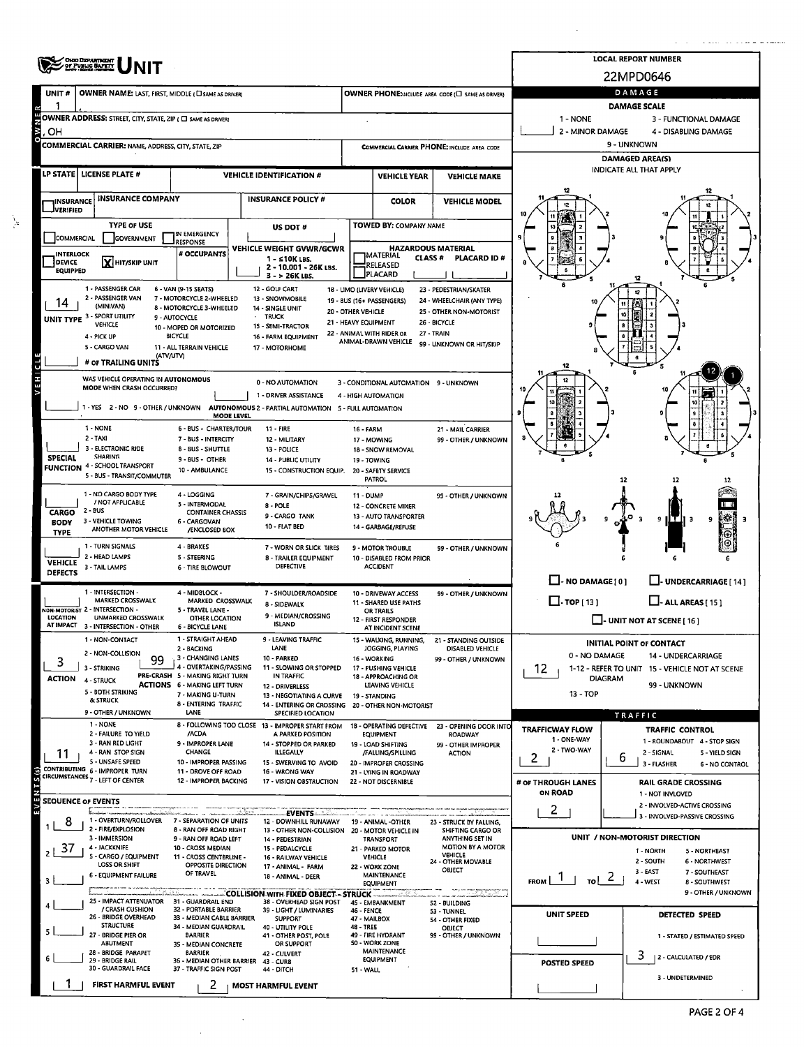|                                                                                                                                                                                                                                                    | <b>OHIO DEPARTMENT</b><br>OF PUBLIC <b>SAFETY</b>                                                                                                              |                                                                                                                                             | <b>LOCAL REPORT NUMBER</b>                                                                                         |                                                                                   |                                                     |                                                    |                                                                                               |                                   |                                                               |  |  |  |  |  |
|----------------------------------------------------------------------------------------------------------------------------------------------------------------------------------------------------------------------------------------------------|----------------------------------------------------------------------------------------------------------------------------------------------------------------|---------------------------------------------------------------------------------------------------------------------------------------------|--------------------------------------------------------------------------------------------------------------------|-----------------------------------------------------------------------------------|-----------------------------------------------------|----------------------------------------------------|-----------------------------------------------------------------------------------------------|-----------------------------------|---------------------------------------------------------------|--|--|--|--|--|
| UNIT#                                                                                                                                                                                                                                              | OWNER NAME: LAST, FIRST, MIDDLE ( CI SAME AS DRIVER)                                                                                                           |                                                                                                                                             | 22MPD0646<br>DAMAGE                                                                                                |                                                                                   |                                                     |                                                    |                                                                                               |                                   |                                                               |  |  |  |  |  |
|                                                                                                                                                                                                                                                    |                                                                                                                                                                |                                                                                                                                             |                                                                                                                    | OWNER PHONE:INCLUDE AREA CODE (I SAME AS DRIVER)                                  | <b>DAMAGE SCALE</b>                                 |                                                    |                                                                                               |                                   |                                                               |  |  |  |  |  |
|                                                                                                                                                                                                                                                    | OWNER ADDRESS: STREET, CITY, STATE, ZIP ( C) SAME AS DRIVER)                                                                                                   |                                                                                                                                             |                                                                                                                    |                                                                                   | 1 - NONE<br>3 - FUNCTIONAL DAMAGE                   |                                                    |                                                                                               |                                   |                                                               |  |  |  |  |  |
| $\frac{8}{10}$<br>OН                                                                                                                                                                                                                               | COMMERCIAL CARRIER: NAME, ADDRESS, CITY, STATE, ZIP                                                                                                            |                                                                                                                                             |                                                                                                                    |                                                                                   |                                                     | <b>COMMERCIAL CARRIER PHONE: INCLUDE AREA CODE</b> | 2 - MINOR DAMAGE<br>4 - DISABLING DAMAGE<br>9 - UNKNOWN                                       |                                   |                                                               |  |  |  |  |  |
|                                                                                                                                                                                                                                                    |                                                                                                                                                                |                                                                                                                                             |                                                                                                                    |                                                                                   |                                                     |                                                    |                                                                                               |                                   | <b>DAMAGED AREA(S)</b>                                        |  |  |  |  |  |
|                                                                                                                                                                                                                                                    | LP STATE   LICENSE PLATE #                                                                                                                                     |                                                                                                                                             | <b>VEHICLE IDENTIFICATION #</b>                                                                                    |                                                                                   | <b>VEHICLE YEAR</b>                                 | <b>VEHICLE MAKE</b>                                | INDICATE ALL THAT APPLY                                                                       |                                   |                                                               |  |  |  |  |  |
| <b>INSURANCE</b>                                                                                                                                                                                                                                   | <b>INSURANCE COMPANY</b>                                                                                                                                       |                                                                                                                                             | <b>INSURANCE POLICY #</b>                                                                                          |                                                                                   | <b>COLOR</b>                                        | <b>VEHICLE MODEL</b>                               |                                                                                               |                                   |                                                               |  |  |  |  |  |
| <b>JVERIFIED</b>                                                                                                                                                                                                                                   | <b>TYPE OF USE</b>                                                                                                                                             |                                                                                                                                             | US DOT#                                                                                                            |                                                                                   | TOWED BY: COMPANY NAME                              |                                                    |                                                                                               |                                   |                                                               |  |  |  |  |  |
| COMMERCIAL                                                                                                                                                                                                                                         | <b>GOVERNMENT</b>                                                                                                                                              | IN EMERGENCY<br>RESPONSE                                                                                                                    |                                                                                                                    | <b>HAZARDOUS MATERIAL</b>                                                         |                                                     |                                                    |                                                                                               |                                   |                                                               |  |  |  |  |  |
| <b>INTERLOCK</b><br>DEVICE                                                                                                                                                                                                                         | X HIT/SKIP UNIT                                                                                                                                                | # OCCUPANTS                                                                                                                                 | VEHICLE WEIGHT GVWR/GCWR<br>1 - ≤10K LBS.                                                                          | <b>IMATERIAL</b><br><b>CLASS #</b><br><b>PLACARD ID#</b><br>RELEASED              |                                                     |                                                    |                                                                                               |                                   |                                                               |  |  |  |  |  |
| <b>EQUIPPED</b>                                                                                                                                                                                                                                    |                                                                                                                                                                |                                                                                                                                             | 2 - 10,001 - 26K LBS.<br>3 - > 26K LBS.                                                                            |                                                                                   | PLACARD                                             |                                                    |                                                                                               |                                   |                                                               |  |  |  |  |  |
| 1 - PASSENGER CAR<br>6 - VAN (9-15 SEATS)<br>12 - GOLF CART<br>18 - LIMO (LIVERY VEHICLE)<br>23 - PEDESTRIAN/SKATER<br>2 - PASSENGER VAN<br>7 - MOTORCYCLE 2-WHEELED<br>13 - SNOWMOBILE<br>19 - BUS (16+ PASSENGERS)<br>24 - WHEELCHAIR (ANY TYPE) |                                                                                                                                                                |                                                                                                                                             |                                                                                                                    |                                                                                   |                                                     |                                                    |                                                                                               |                                   |                                                               |  |  |  |  |  |
| (MINIVAN)<br>8 - MOTORCYCLE 3-WHEELED<br>14 - SINGLE UNIT<br>20 - OTHER VEHICLE<br>25 - OTHER NON-MOTORIST<br>UNIT TYPE 3 - SPORT UTILITY<br>· TRUCK<br>9 - AUTOCYCLE<br>21 - HEAVY EQUIPMENT<br>26 - BICYCLE                                      |                                                                                                                                                                |                                                                                                                                             |                                                                                                                    |                                                                                   |                                                     |                                                    |                                                                                               |                                   |                                                               |  |  |  |  |  |
| <b>VEHICLE</b><br>15 - SEMI-TRACTOR<br>10 - MOPED OR MOTORIZED<br>22 - ANIMAL WITH RIDER OR<br>27 - TRAIN<br><b>BICYCLE</b><br>4 - PICK UP<br>16 - FARM EQUIPMENT<br>ANIMAL-DRAWN VEHICLE                                                          |                                                                                                                                                                |                                                                                                                                             |                                                                                                                    |                                                                                   |                                                     |                                                    |                                                                                               |                                   |                                                               |  |  |  |  |  |
| 99 - UNKNOWN OR HIT/SKIP<br>5 - CARGO VAN<br>11 - ALL TERRAIN VEHICLE<br>17 - MOTORHOME<br>(ATV/UTV)                                                                                                                                               |                                                                                                                                                                |                                                                                                                                             |                                                                                                                    |                                                                                   |                                                     |                                                    |                                                                                               |                                   |                                                               |  |  |  |  |  |
| VEHICL<br># or TRAILING UNITS<br>WAS VEHICLE OPERATING IN AUTONOMOUS                                                                                                                                                                               |                                                                                                                                                                |                                                                                                                                             |                                                                                                                    |                                                                                   |                                                     |                                                    |                                                                                               |                                   |                                                               |  |  |  |  |  |
| 0 - NO AUTOMATION<br>3 - CONDITIONAL AUTOMATION 9 - UNKNOWN<br>MODE WHEN CRASH OCCURRED?<br>1 - DRIVER ASSISTANCE<br>4 - HIGH AUTOMATION                                                                                                           |                                                                                                                                                                |                                                                                                                                             |                                                                                                                    |                                                                                   |                                                     |                                                    |                                                                                               |                                   |                                                               |  |  |  |  |  |
| 1 - YES 2 - NO 9 - OTHER / UNKNOWN AUTONOMOUS 2 - PARTIAL AUTOMATION 5 - FULL AUTOMATION<br><b>MODE LEVEL</b>                                                                                                                                      |                                                                                                                                                                |                                                                                                                                             |                                                                                                                    |                                                                                   |                                                     |                                                    |                                                                                               |                                   |                                                               |  |  |  |  |  |
|                                                                                                                                                                                                                                                    | 1 - NONE<br>$2 - TAXI$                                                                                                                                         | <b>6 - BUS - CHARTER/TOUR</b><br>7 - BUS - INTERCITY                                                                                        | 11 - FIRE                                                                                                          | 16 - FARM                                                                         |                                                     | 21 - MAIL CARRIER                                  |                                                                                               |                                   |                                                               |  |  |  |  |  |
| <b>SPECIAL</b>                                                                                                                                                                                                                                     | 3 - ELECTRONIC RIDE<br><b>SHARING</b>                                                                                                                          | 8 - BUS - SHUTTLE                                                                                                                           | 12 - MILITARY<br>13 - POLICE                                                                                       | 17 - MOWING                                                                       | 18 - SNOW REMOVAL                                   | 99 - OTHER / UNKNOWN                               |                                                                                               |                                   |                                                               |  |  |  |  |  |
|                                                                                                                                                                                                                                                    | <b>FUNCTION 4 - SCHOOL TRANSPORT</b><br>5 - BUS - TRANSIT/COMMUTER                                                                                             | 9 - BUS - OTHER<br>10 - AMBULANCE                                                                                                           | 14 - PUBLIC UTILITY<br>15 - CONSTRUCTION EQUIP.                                                                    | 19 - TOWING                                                                       | 20 - SAFETY SERVICE                                 |                                                    |                                                                                               |                                   |                                                               |  |  |  |  |  |
|                                                                                                                                                                                                                                                    | 1 - NO CARGO BODY TYPE                                                                                                                                         | 4 - LOGGING                                                                                                                                 | 7 - GRAIN/CHIPS/GRAVEL                                                                                             | 11 - DUMP                                                                         | <b>PATROL</b>                                       | 99 - OTHER / UNKNOWN                               |                                                                                               | 12                                | 12<br>12                                                      |  |  |  |  |  |
| <b>CARGO</b>                                                                                                                                                                                                                                       | / NOT APPLICABLE<br>$2 - BUS$                                                                                                                                  | 5 - INTERMODAL<br><b>CONTAINER CHASSIS</b>                                                                                                  | 8 - POLE                                                                                                           |                                                                                   | 12 - CONCRETE MIXER                                 |                                                    |                                                                                               |                                   |                                                               |  |  |  |  |  |
| <b>BODY</b><br><b>TYPE</b>                                                                                                                                                                                                                         | 3 - VEHICLE TOWING<br>ANOTHER MOTOR VEHICLE                                                                                                                    | 6 - CARGOVAN<br>/ENCLOSED BOX                                                                                                               | 9 - CARGO TANK<br>10 - FLAT BED                                                                                    |                                                                                   | 13 - AUTO TRANSPORTER<br>14 - GARBAGE/REFUSE        |                                                    |                                                                                               |                                   | ιÇβ<br>9<br>٩                                                 |  |  |  |  |  |
|                                                                                                                                                                                                                                                    | 1 - TURN SIGNALS                                                                                                                                               | 4 - BRAKES                                                                                                                                  | 7 - WORN OR SLICK TIRES                                                                                            |                                                                                   | 9 - MOTOR TROUBLE                                   | 99 - OTHER / UNKNOWN                               |                                                                                               |                                   |                                                               |  |  |  |  |  |
| <b>VEHICLE</b><br><b>DEFECTS</b>                                                                                                                                                                                                                   | 2 - HEAD LAMPS<br>3 - TAIL LAMPS                                                                                                                               | 5 - STEERING<br><b>6 - TIRE BLOWOUT</b>                                                                                                     | 8 - TRAILER EQUIPMENT<br>DEFECTIVE                                                                                 |                                                                                   | 10 - DISABLED FROM PRIOR<br><b>ACCIDENT</b>         |                                                    |                                                                                               |                                   |                                                               |  |  |  |  |  |
|                                                                                                                                                                                                                                                    | 1 - INTERSECTION -                                                                                                                                             |                                                                                                                                             | 99 - OTHER / UNKNOWN                                                                                               | $\Box$ - NO DAMAGE [ 0 ]<br>U-UNDERCARRIAGE [14]                                  |                                                     |                                                    |                                                                                               |                                   |                                                               |  |  |  |  |  |
|                                                                                                                                                                                                                                                    | 4 - MIDBLOCK -<br>7 - SHOULDER/ROADSIDE<br><b>MARKED CROSSWALK</b><br>MARKED CROSSWALK<br>8 - SIDEWALK<br>NON-MOTORIST 2 - INTERSECTION -<br>5 - TRAVEL LANE - |                                                                                                                                             |                                                                                                                    |                                                                                   | 10 - DRIVEWAY ACCESS<br>11 - SHARED USE PATHS       | $\Box$ TOP [13]<br>$\Box$ - ALL AREAS [15]         |                                                                                               |                                   |                                                               |  |  |  |  |  |
| LOCATION<br>AT IMPACT                                                                                                                                                                                                                              | <b>UNMARKED CROSSWALK</b><br>3 - INTERSECTION - OTHER                                                                                                          | OR TRAILS<br>9 - MEDIAN/CROSSING<br>OTHER LOCATION<br>12 - FIRST RESPONDER<br><b>ISLAND</b><br><b>6 - BICYCLE LANE</b><br>AT INCIDENT SCENE |                                                                                                                    |                                                                                   |                                                     |                                                    |                                                                                               | $\Box$ - UNIT NOT AT SCENE [ 16 ] |                                                               |  |  |  |  |  |
|                                                                                                                                                                                                                                                    | 1 - NON-CONTACT                                                                                                                                                | 1 - STRAIGHT AHEAD<br>2 - BACKING                                                                                                           | 9 - LEAVING TRAFFIC<br>LANE                                                                                        |                                                                                   | 15 - WALKING, RUNNING,<br>JOGGING, PLAYING          | 21 - STANDING OUTSIDE<br><b>DISABLED VEHICLE</b>   |                                                                                               |                                   | <b>INITIAL POINT OF CONTACT</b>                               |  |  |  |  |  |
| 3                                                                                                                                                                                                                                                  | 2 - NON-COLLISION<br>99<br>3 - STRIKING                                                                                                                        | 3 - CHANGING LANES<br>4 - OVERTAKING/PASSING                                                                                                | 10 - PARKED<br>11 - SLOWING OR STOPPED                                                                             | 16 - WORKING                                                                      | 17 - PUSHING VEHICLE                                | 99 - OTHER / UNKNOWN                               | 0 - NO DAMAGE<br>14 - UNDERCARRIAGE<br>12<br>1-12 - REFER TO UNIT 15 - VEHICLE NOT AT SCENE   |                                   |                                                               |  |  |  |  |  |
| <b>ACTION 4 - STRUCK</b>                                                                                                                                                                                                                           |                                                                                                                                                                | PRE-CRASH 5 - MAKING RIGHT TURN<br><b>ACTIONS 6 - MAKING LEFT TURN</b>                                                                      | IN TRAFFIC<br><b>12 - DRIVERLESS</b>                                                                               |                                                                                   | <b>DIAGRAM</b><br>99 - UNKNOWN                      |                                                    |                                                                                               |                                   |                                                               |  |  |  |  |  |
|                                                                                                                                                                                                                                                    | 5 - BOTH STRIKING<br>& STRUCK                                                                                                                                  | 7 - MAKING U-TURN<br>8 - ENTERING TRAFFIC                                                                                                   | 13 - NEGOTIATING A CURVE<br>19 - STANDING<br>14 - ENTERING OR CROSSING                                             |                                                                                   | 13 - TOP                                            |                                                    |                                                                                               |                                   |                                                               |  |  |  |  |  |
|                                                                                                                                                                                                                                                    | 9 - OTHER / UNKNOWN<br>1 - NONE                                                                                                                                | LANE                                                                                                                                        | SPECIFIED LOCATION<br>8 - FOLLOWING TOO CLOSE 13 - IMPROPER START FROM                                             |                                                                                   | 20 - OTHER NON-MOTORIST<br>18 - OPERATING DEFECTIVE | 23 - OPENING DOOR INTO                             |                                                                                               |                                   | TRAFFIC                                                       |  |  |  |  |  |
|                                                                                                                                                                                                                                                    | 2 - FAILURE TO YIELD<br>3 - RAN RED LIGHT                                                                                                                      | /ACDA<br>9 - IMPROPER LANE                                                                                                                  | A PARKED POSITION<br>14 - STOPPED OR PARKED                                                                        |                                                                                   | <b>EQUIPMENT</b><br>19 - LOAD SHIFTING              | <b>ROADWAY</b><br>99 - OTHER IMPROPER              | <b>TRAFFICWAY FLOW</b><br>1 - ONE-WAY                                                         |                                   | <b>TRAFFIC CONTROL</b><br>1 - ROUNDABOUT 4 - STOP SIGN        |  |  |  |  |  |
| 11                                                                                                                                                                                                                                                 | 4 - RAN STOP SIGN<br>5 UNSAFE SPEED                                                                                                                            | CHANGE<br>10 - IMPROPER PASSING                                                                                                             | <b>ILLEGALLY</b><br>15 - SWERVING TO AVOID                                                                         |                                                                                   | /FALLING/SPILLING<br>20 - IMPROPER CROSSING         | <b>ACTION</b>                                      | 2 - TWO-WAY<br>2                                                                              | ь                                 | 2 - SIGNAL<br>5 - YIELD SIGN<br>3 - FLASHER<br>6 - NO CONTROL |  |  |  |  |  |
|                                                                                                                                                                                                                                                    | CONTRIBUTING 6 - IMPROPER TURN<br>CIRCUMSTANCES 7 - LEFT OF CENTER                                                                                             | 11 - DROVE OFF ROAD<br>12 - IMPROPER BACKING                                                                                                | 16 - WRONG WAY<br>17 - VISION OBSTRUCTION                                                                          |                                                                                   | 21 - LYING IN ROADWAY<br>22 - NOT DISCERNIBLE       |                                                    | # OF THROUGH LANES                                                                            |                                   | <b>RAIL GRADE CROSSING</b>                                    |  |  |  |  |  |
| SEQUENCE OF EVENTS                                                                                                                                                                                                                                 |                                                                                                                                                                |                                                                                                                                             |                                                                                                                    |                                                                                   |                                                     |                                                    | <b>ON ROAD</b>                                                                                |                                   | 1 - NOT INVLOVED<br>2 - INVOLVED-ACTIVE CROSSING              |  |  |  |  |  |
| Š<br>8                                                                                                                                                                                                                                             | 1 - OVERTURN/ROLLOVER                                                                                                                                          | 7 - SEPARATION OF UNITS                                                                                                                     | <b>EVENTS</b><br>12 - DOWNHILL RUNAWAY                                                                             |                                                                                   | 19 - ANIMAL -OTHER                                  | 23 - STRUCK BY FALLING,                            | $\mathbf{2}$                                                                                  |                                   | 3 - INVOLVED-PASSIVE CROSSING                                 |  |  |  |  |  |
|                                                                                                                                                                                                                                                    | 2 - FIRE/EXPLOSION<br>3 - IMMERSION                                                                                                                            | 8 - RAN OFF ROAD RIGHT<br>9 - RAN OFF ROAD LEFT                                                                                             | 13 - OTHER NON-COLLISION<br>14 - PEDESTRIAN                                                                        |                                                                                   | 20 - MOTOR VEHICLE IN<br><b>TRANSPORT</b>           | SHIFTING CARGO OR<br>ANYTHING SET IN               |                                                                                               |                                   | UNIT / NON-MOTORIST DIRECTION                                 |  |  |  |  |  |
| 37                                                                                                                                                                                                                                                 | 4 - JACKKNIFE<br>CARGO / EQUIPMENT                                                                                                                             | 10 - CROSS MEDIAN<br>11 - CROSS CENTERLINE -                                                                                                | 15 - PEDALCYCLE<br>16 - RAILWAY VEHICLE                                                                            |                                                                                   | 21 - PARKED MOTOR<br><b>VEHICLE</b>                 | <b>MOTION BY A MOTOR</b><br><b>VEHICLE</b>         |                                                                                               |                                   | 1 - NORTH<br>5 - NORTHEAST<br>2 - SOUTH<br>6 - NORTHWEST      |  |  |  |  |  |
|                                                                                                                                                                                                                                                    | <b>LOSS OR SHIFT</b><br><b>6 - EQUIPMENT FAILURE</b>                                                                                                           | <b>OPPOSITE DIRECTION</b><br>OF TRAVEL                                                                                                      | 17 - ANIMAL - FARM<br>18 - ANIMAL - DEER                                                                           | 24 - OTHER MOVABLE<br>22 - WORK ZONE<br>OBJECT<br>MAINTENANCE<br><b>EQUIPMENT</b> |                                                     |                                                    | 3 - EAST<br>7 - SOUTHEAST<br>$\frac{2}{\pi}$ or $\frac{2}{\pi}$<br>$FROM$ $\vert$<br>4 - WEST |                                   |                                                               |  |  |  |  |  |
|                                                                                                                                                                                                                                                    |                                                                                                                                                                | COLLISION WITH FIXED OBJECT - STRUCK                                                                                                        |                                                                                                                    |                                                                                   |                                                     | 8 - SOUTHWEST<br>9 - OTHER / UNKNOWN               |                                                                                               |                                   |                                                               |  |  |  |  |  |
|                                                                                                                                                                                                                                                    | 25 - IMPACT ATTENUATOR 31 - GUARDRAIL END<br>/ CRASH CUSHION<br>26 - BRIDGE OVERHEAD                                                                           | 32 - PORTABLE BARRIER<br>33 - MEDIAN CABLE BARRIER                                                                                          | 38 - OVERHEAD SIGN POST<br>39 - LIGHT / LUMINARIES<br><b>SUPPORT</b><br>40 - UTILITY POLE<br>41 - OTHER POST, POLE | 45 - EMBANKMENT<br>46 - FENCE<br>47 - MAILBOX<br>48 - TREE<br>49 - FIRE HYDRANT   |                                                     | 52 - BUILDING<br>53 - TUNNEL<br>54 - OTHER FIXED   | UNIT SPEED                                                                                    |                                   | DETECTED SPEED                                                |  |  |  |  |  |
|                                                                                                                                                                                                                                                    | <b>STRUCTURE</b><br>- BRIDGE PIER OR<br>27                                                                                                                     | 34 - MEDIAN GUARDRAIL<br><b>BARRIER</b>                                                                                                     |                                                                                                                    |                                                                                   |                                                     | OBJECT<br>99 - OTHER / UNKNOWN                     |                                                                                               |                                   | 1 - STATED / ESTIMATED SPEED                                  |  |  |  |  |  |
|                                                                                                                                                                                                                                                    | ABUTMENT<br>28 - BRIDGE PARAPET                                                                                                                                | 35 - MEDIAN CONCRETE<br><b>BARRIER</b>                                                                                                      | OR SUPPORT<br>42 - CULVERT                                                                                         |                                                                                   | 50 - WORK ZONE<br>MAINTENANCE                       |                                                    |                                                                                               |                                   | 3<br>2 - CALCULATED / EDR                                     |  |  |  |  |  |
|                                                                                                                                                                                                                                                    | 29 - BRIDGE RAIL<br>30 - GUARDRAIL FACE<br>37 - TRAFFIC SIGN POST                                                                                              | 36 - MEDIAN OTHER BARRIER 43 - CURB<br>44 - DITCH                                                                                           | 51 - WALL                                                                                                          | <b>EQUIPMENT</b>                                                                  |                                                     | <b>POSTED SPEED</b>                                |                                                                                               |                                   |                                                               |  |  |  |  |  |
|                                                                                                                                                                                                                                                    | FIRST HARMFUL EVENT                                                                                                                                            | 2<br><b>MOST HARMFUL EVENT</b>                                                                                                              |                                                                                                                    |                                                                                   | 3 - UNDETERMINED                                    |                                                    |                                                                                               |                                   |                                                               |  |  |  |  |  |

 $\label{eq:2.1} \frac{1}{\sqrt{2\pi}}\int_{0}^{\infty}\frac{dx}{\sqrt{2\pi}}\,dx$ 

 $\frac{\lambda_{\rm p}}{\lambda_{\rm p}}$ 

 $\hat{\mathcal{A}}$ 

<u> Salaman adalah kalendar </u>

 $\mathbb{Z}^{\mathbb{Z}}$  .